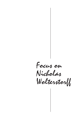Focus on Nicholas

Wolterstorff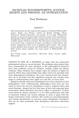# NICHOLAS WOLTERSTORFF'S *JUSTICE: RIGHTS AND WRONGS:* AN INTRODUCTION

# Paul Weithman

#### ABSTRACT

This introduction sets the stage for four papers on Nicholas Wolterstorff's *Justice: Rights and Wrongs*, written by Harold Attridge, Oliver O'Donovan, Richard Bernstein, and myself. In his book, Wolterstorff defends an account of human rights. The first section of this introduction distinguishes Wolterstorff's account of rights from the alternative account of rights against which he contends. The alternative account draws much of its power from a historical narrative according to which theory and politics supplanted earlier ways of thinking about justice. The second section sketches that narrative and Wolterstorff's counter-narrative. The third section draws together the main points of Wolterstorff's own account.

KEY WORDS: *justice*, *nominalism*, *right-order theory*, *human rights*, *Wolterstorff*

JUSTICE IS ONE OF A HANDFUL of topics that has dominated philosophical ethics in recent decades. The problems about justice that have commanded the most attention in the philosophical literature have been problems raised by thinkers working within the liberal tradition. These thinkers have largely taken the politics of rights for granted. While they acknowledge that rights need to be provided with some philosophical foundation, they have assumed that that foundation can be provided and that significant progress has recently been made in understanding what rights are and why we have them.

Religious ethicists and moral theologians have been attentive to this philosophical work. Unfortunately, philosophers have been far less ready to return the favor by attending to work in religious ethics and moral theology—despite the fact that some of this work expresses deep reservations about liberalism and about rights in particular. If these reservations do attract attention, it is too often perfunctory and ends in dismissal without any serious attempt to come to grips with the deeper motivations of the criticism. The results are misunderstanding and missed opportunities to converse across disciplinary boundaries that are far more permeable than disciplinary literature sometimes suggest.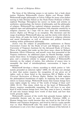The focus of the following essays is not justice, but a book about justice: Nicholas Wolterstorff's *Justice: Rights and Wrongs* (2008). Wolterstorff taught philosophy at Calvin College for many years before moving to Yale Divinity School as the Noah Porter Professor of Philosophical Theology. Throughout his career—in books and articles on aesthetics, epistemology, the history of philosophy, and the philosophy of religion—Wolterstorff has explored religious questions with philosophical rigor and philosophical questions with exquisite sensitivity to religious concerns. As I hope will be clear from this introduction, *Justice: Rights and Wrongs* is no exception. The literature and the range of problems Wolterstorff takes up, and the clarity with which he treats them, all make the book of great interest to religious ethicists and moral theologians as well as ethicists and political theorists working within professional philosophy.

*Justice* was the subject of prepublication conferences at Emory University's Center for the Study of Law and Religion, and at the University of Virginia's Institute for the Advanced Study of Culture. Three of the papers that make up this focus issue—those by Richard Bernstein, Oliver O'Donovan, and myself—were first presented at the Virginia conference. An additional paper, by Harold Attridge, supplements those three. In bringing together philosophers, a moral theologian, and a scripture scholar to engage a thinker of Wolterstorff's interests on the subject of justice, this collection of essays tries to exemplify the kind of interdisciplinary conversation it hopes to encourage.

Wolterstorff develops a theory according to which justice is "ultimately grounded on inherent rights" (2008, 21). He does not attempt to show that justice requires the recognition of any given set of rights, such as those listed in the American Bill of Rights or the *Universal Declaration of Human Rights*. Rather, his book explores the philosophical foundations of rights. In implying that some rights inhere in human beings, Wolterstorff means that human beings have some rights simply by virtue of "the worth of beings of their sort" (2008, 10–11). This claim, which lies at the heart of Wolterstorff's theory, requires considerable unpacking. We will have to see what kind of worth human beings have, how they come to have it, whether all and only human beings have worth of that kind, and how that worth grounds rights.

Wolterstorff's account of the worth that grounds human rights is irreducibly theistic and, he says, specifically Christian (2008, x). Human beings have worth because they are loved by the God of the Hebrew and Christian Scriptures, and loved by God in a quite specific way—in what Wolterstorff calls "the mode of attachment." Love as attachment is not a love that responds to excellences of the beloved; it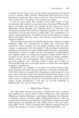is simply the love that a lover has for things and persons to which he or she is bonded (2008, 189–90). Wolterstorff finds this kind of love discussed in Augustine. The worth we have by virtue of being loved by God in this way is, he thinks, what grounds our rights.

I will say more about this account in the third section of this introduction. But I believe we can learn quite a bit about Wolterstorff's theory of justice, and about the interest of that theory for moral philosophy, moral theology, and religious ethics, by looking at the conception of justice with which he explicitly contrasts his own. That conception is one he calls "justice as right order." The conception is, he argues, widely influential. It underlies much of the criticism of rights theory and rights talk that enjoys such currency, particularly among religious thinkers.

Wolterstorff remarks that he initially found many critiques of rights confusing (2008, xii). Sympathizers of rights may well share this experience. Those critiques can be highly polemical and are often leveled in abstraction from the details of the developed intellectual positions at which they are aimed. Wolterstorff has made a tremendous contribution to what we might call the "cartography" of philosophical and religious ethics by locating and mapping a single position that is occupied by the diverse critics of rights whom he groups together. Seeing exactly what distinguishes their conception of justice, in a way that explains their criticisms, sheds a great deal of light on Wolterstorff's book and on the larger debates to which that book makes so signal a contribution.

Wolterstorff's own attempt to say what is at issue between right order theorists and rights theorists takes up a relatively small portion of his book. However, because of its importance, and because it is the part of the book that is least well canvassed in the focus essays, I will begin with it and give it disproportionate attention. A good deal of the book is given to historical narrative; I will discuss this in the second section of this introduction. I will then lay out the essentials of Wolterstorff's own view in section three.

### 1. Right Order Theory

The right order conception of justice is, Wolterstorff says, a conception espoused by—among others—Oliver O'Donovan, Joan Lockwood O'Donovan, Alasdair MacIntyre, and Stanley Hauerwas. By defending a Christian theory of human rights, Wolterstorff hopes to offer an account that Christians can embrace. By defending it against the right order theorists he identifies, he—like Jeffrey Stout in his own recent book (2004, 75–76)—hopes to counter their influence among Christians outside the academy as well as within it (Wolterstorff 2008, 1–2).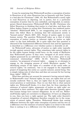It may be surprising that Wolterstorff ascribes a conception of justice to Hauerwas at all, since Hauerwas has so famously said that "justice is a bad idea for Christians" (1991, 45). But Wolterstorff is surely right to read Hauerwas as objecting, not to justice, but to a particular conception of justice that he sees embodied, and degraded, in contemporary liberal democracies (Wolterstorff 2008, 94–96). Christians who follow Hauerwas in thinking that justice is a bad idea, and those who follow Anders Nygren in saying that Christianity has rendered justice "obsolete" (Wolterstorff 2008, 1), are exaggerating just as surely as those who follow Marx in claiming that full communist society is "beyond justice" (Rawls 2007, 335). Norms of justice apply to every human society. The question Wolterstorff takes up is that of which conception of justice—justice as inherent rights or justice as right order—is the most defensible. He is quite right that this question is obscured if the fundamental difference between him and his opponents is described as a difference over whether justice is desirable at all.

As Wolterstorff notes, advocates of justice as right order typically inveigh against natural rights. They sometimes take natural rights to be the rights human beings would have—in the words of MacInytre that Wolterstorff quotes—if they were "stripped of all social status, [rights] possessed by an individual as he or she is alone, prior to any communal relationships" (2008, 32–33). However, Wolterstorff counters, "no proponent of natural rights... engage in, or attempts to engage in, the stripping process of which MacIntyre speaks." "In identifying certain of the rights of a member of the social order as *natural* rights," he continues, "one is not engaged in the impossible project of imagining this entity as a purely natural, asocial being. One is simply taking note of what does and does not account for her having those rights" (2008, 33).

What does and does not account for someone's having natural rights, in Wolterstorff's view? Natural rights, he says, are rights that are not socially conferred. That is, they are rights that do not depend upon social practices or institutions. Once we see that this is what natural rights are, Wolterstorff thinks, it is clear that, far from rejecting the existence of natural rights, proponents of justice as right order are committed to their existence. For right order theorists typically agree that human beings have natural obligations. As we will see, Wolterstorff thinks rights are correlative to obligations: if I have an obligation to you, then you have a right against me. The right order theorist's recognition of natural obligations therefore commits her to the recognition of natural rights. Therefore, Wolterstorff thinks that casting difference between the right order conception of justice and his own as a difference over the existence of natural rights is no closer to the truth than is casting it as a difference over the desirability of justice.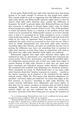At one point, Wolterstorff says right order theorists deny that being human is "by itself, enough" to account for why people have rights. This remark might be read as suggesting that the difference between right order theory and Wolterstorff's inherent rights theory is that he asserts what right order theorists deny, namely the sufficiency of humanity "by itself" to ground rights. But Wolterstorff does not think that *humanity* is sufficient to ground rights either, since he thinks human beings have rights because of their *worth*. <sup>1</sup> One of the problems to which his theistic theory is a solution is the problem of how that worth is to be accounted for. Wolterstorff's answer, as we have already seen, is that it is accounted for by God's standing to us in a certain value-conferring relation. Of course, Wolterstorff would still insist that while on his view, an important form of human *worth* or *value* is conferred, the *rights which are grounded on that value* are not. This is what he thinks distinguishes his view from right order theories. According right order theories, all *rights* are conferred, but this way of putting the difference may leave out something that is essential to right order theories, at least when taken in conjunction with what is said about how right order theorists think rights are conferred.

Wolterstorff suggests that right order theorists think rights are conferred by laws, by agreements, or by standards that transcend any actual society. These laws, agreements, and standards establish objective obligations among persons and, in that way, confer their rights. A central element of right order theories is what they say about how these standards put individual persons under objective obligations. The standards that establish such obligations are standards of justice. These standards are social. As Wolterstorff notes at one point, right order theorists think that "[j]ustice is present in a society... insofar as the society measures up to whatever is the standard for the rightly ordered society" (2008, 30). This means that objective obligations are specified—and hence rights are conferred—by norms that apply, in the first instance, to *societies*. <sup>2</sup> According to right order theorists, the reason concrete individuals have obligations—and hence rights—is that they are, by nature, members of societies that are held to those standards. Right order theorists therefore think that individuals' natural rights are not just conferred but are also *membershipderivative*: derivative from their being part of a group the members of

<sup>&</sup>lt;sup>1</sup> In a revealing passage Wolterstoff says that "*worth* is sufficient for having rights,"

not that *humanity* is sufficient (2008, 36; my emphasis).<br><sup>2</sup> Wolterstorff 2008, 265 does recognize this explicitly where he avers that "the norm" for right order is thought of as a matrix specifying in a general way *the obligations of members of the social order*." My point in the text is that the social character of the matrix is not connected with the description of what divides Wolterstorff from the right order theorists.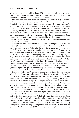which, as such, have obligations. If that group is all-inclusive, then individuals' rights are derivative from their belonging to a kind the members of which, as such, have obligations.

On Wolterstorff's own view, by contrast, the natural rights of individuals are not membership-derivative. That is because rights are founded on a value that is conferred by God, and God does not confer such value mediately on individuals by conferring it on their societies or kinds. Rather, God confers it immediately on individual human beings by loving them. Moreover, because the love that confers that value is love as attachment, it is love God bestows without regard to any excellences—such as rationality—that have traditionally been thought to define the human species. God loves all human beings, and that love grounds rights, regardless of what human beings may or may not have in common.

Wolterstorff does not rehearse this line of thought explicitly, and nothing he says compels this interpretation. Nevertheless, I think we can read this line into Wolterstorff's especially important remark that "if God loves, in the mode of attachment, *each and every human being equally* and permanently, then natural human rights inhere in the worth bestowed on human beings by that love" (2008, 360; my emphasis). Moreover, we can see why Wolterstorff would be drawn to a view according to which rights are not membership-derivative. For Wolterstorff wants an account of rights that will support his claim that all human beings have rights, regardless of their physical or mental capacities, and perhaps of their state of consciousness. An account that grounds rights on group membership or shared, kind-specific excellences seems unlikely to deliver that.

Some of Wolterstorff's remarks suggest he thinks that in locating what divides him from right order theorists in the question of whether rights are inherent or conferred, he has seen more clearly than they have what is at stake between them. This way of drawing the contrast, however, still leaves many of the right order theorists' criticisms of rights theory unexplained. Now suppose that the contrast Wolterstorff wants to draw is characterized as a disagreement about whether individuals' rights are or are not also membership-derivative, derivative from their membership in a group or a kind. Then that contrast looks much more like the contrast right order theorists themselves have described. We can see why Oliver O'Donovan says in his contribution to this focus issue that "[r]adically multiple rights arise from, and reflect, the radical ontological distinctness and multiplicity of human persons" and that "[m]ultiple rights express a plural ontology of difference, the difference between every rights-bearer and every other, instead of a unitary ontology of human likeness." In addition, we can see why Joan Lockwood O'Donovan and other right order theorists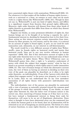have associated rights theory with nominalism (Wolterstorff 2008, 12). For whatever it is that makes all the holders of human rights *human* such as a universal or a form, an essence or soul—does not do much work in a rights theory like Wolterstorff's (2008, 321). Though he does not say so, Wolterstorff's is just one kind of rights theory, and differs in a significant respect from theories that ground rights differently. Moreover, right order theorists will dissent from these other kinds of rights theories on grounds that differ from those on which they dissent from Wolterstorff's.

Suppose one thinks, as some prominent defenders of rights do, that human beings are to be thought of as having a capacity for, and a fundamental interest in, deciding for themselves how to live their lives. Since acting on this interest requires certain immunities from interference by other persons, by civil society, and by the state, it is natural for an account of rights to found rights, in part, on our need for such immunities and, ultimately, on our interest in self-determination.

The result would be a very different account of rights than Wolterstorff's, since he founds rights on bestowed worth and insists that bestowed worth "does not in any way involve reference to human capacities" (2008, 352). But if this alternative account of rights is the one right order theorists have in view, we can understand some of their other criticisms of rights theory. When Oliver O'Donovan says—as Wolterstorff quotes him—that a right is "a primitive endowment of power with which the subject first engages society," what he has in mind is an account according to which rights exist to confer immunities (2008, 31). The view of human beings on which the alternative account rests, the view of them as having an interest in deciding on their own view of the good, can plausibly be described—as it often is by right order theorists—as individualistic. If one of the "powers with which the subject first engages society" is the power over property, as it seems to be in Locke, then we can understand the (in my view mistaken) association of all rights theory with possessive individualism (see 2008, 13).

The individualistic view of the person can plausibly be contrasted with a view of persons as naturally oriented toward the common good of the groups to which they naturally belong. If one thinks, as some right order theorists do, that the latter view of human nature is the correct one, then conceiving of human beings as if they have no *telos*, but have instead a fundamental interest in fixing their ends for themselves, will seem to be an act of illegitimate abstraction. Since what is thought to have been abstracted away are the communal ties in which the human good is to be found, that act of abstraction will be criticized as an act of imagining an asocial person. The fiction of a state of nature functions, in some rights theories, to make that abstraction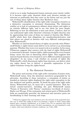vivid so as to make fundamental human interests more clearly visible. It is because right order theorists think such theories mistake our interests so profoundly that they seize on the fiction and say just the sort of thing about rights theories that MacIntyre does.

Wolterstorff's identification of the right order conception of justice as a distinctive conception is extremely illuminating. The distinction enables us to look at contemporary debates about justice and rights in an entirely different light, and to see into them far more deeply. Reflecting on how the distinction is best cast shows, I believe, that we can understand right order theorists' criticisms of rights theories only by appreciating that some of them are aimed at theories like Wolterstorff's which deny that obligations are membership-derivative and that others are aimed at theories with very different underpinnings than Wolterstorff's.

Whether an interest-based theory of rights can provide what Wolterstorff thinks a rights theory must deliver to be correct is an interesting question. Whether they were ever meant to do so is another. In his essay, O'Donovan suggests that concern with the kind of rights Wolterstorff is concerned to ground—human rights, rights possessed by every human being—arose very late in theorizing about rights. This suggests that interest-based theories were framed to serve different political purposes altogether.3 In my essay, I ask whether an account of rights like Wolterstorff's, which disconnects rights from interests, can deliver what any rights theory has to deliver: a plausible explanation of how rights-violations wrong the rights-bearer.

### 2. The Historical Narrative

The power and tenacity of the right order conception of justice stem, Wolterstorff states, from the historical narratives propounded by its advocates. According to those narratives, a conception of justice as founded on inherent rights displaced the right order conception in the late medieval and modern periods. To break the grip of the right order theory, Wolterstorff says, he must tell a counter-narrative. That historical counter-narrative, including the part Wolterstorff names "Fusion of Narrative with Theory," constitutes two-thirds of *Justice: Rights and Wrongs*. If the systematic and critical parts of Wolterstorff's book are analytically powerful, the historical and narrative parts are breathtaking in their learning and scope.

<sup>3</sup> O'Donovan suggests they were framed to serve the interests of the propertied class. One way in which they might do that is by licensing a regime in which voting rights depend upon a property qualification, as in Locke's view. For an argument that social contract theories, which make many of Locke's assumptions, are not committed to such a regime under post-industrial economic conditions, see Cohen 1986.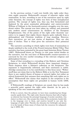In the previous section, I said very briefly why right order theorists might associate Wolterstorff's account of inherent rights with nominalism. In fact, according to one of the narratives spun by right order theorists, the concept of rights was born of that metaphysical position. The concept of rights was, they say, first formulated and deployed by the great nominalist philosopher and controversialist William of Ockham in the fourteenth-century struggles over the mendicant orders. The concept was later taken up, refined, and cemented into modern moral consciousness by thinkers of the European Enlightenment. One of the points of the right order theorists' narrative is to suggest that rights theory departs quite radically from a philosophical and Christian tradition of long standing. However, their narratives are not just stories of departure. They are also tales of decline. That is what gives the narratives their polemical force.

The narrative according to which rights were born of nominalism is deeply indebted to the work of the French historian Michel Villey. That narrative has been contested by the great legal historian Brian Tierney (1997). Wolterstorff draws on Tierney to cast some initial doubts on the narrative, but the real force of Wolterstorff's counter-narrative is conveyed by his own careful rereading of the relevant religious and philosophical history.

Some of that rereading is a rereading of the Hebrew and Christian Scriptures, to which Wolterstorff devotes three important chapters. These chapters show a lifetime's reflection on the Scriptures. The argument is linguistically informed, and their conclusion is subtle. Attridge summarizes it in his contribution to this focus issue: "Wolterstorff does not claim that in the Hebrew Bible or in the New Testament there is any explicit theory of human or natural rights, but rather an ethical framework that assumes that something like such rights are in effect." Wolterstorff also claims that implicit in the scriptures is the assumption that those rights are grounded in human worth (2008, 131).

If Wolterstorff's readings of Scripture are sound, then he has made a powerful point against the right order theorist. As he puts it, speaking of his own counter-narrative:

If this is correct, then the polemic we have been considering has things exactly upside down. The right order theorist discerns that talk of rights as inherent has become the principal language of secular moralists, who claim it as their own. She accepts this claim of the secularists, hands title to the language over to them, and resolves herself to use only the language of right order. Thereby she alienates her birthright and places it in the hands of those many of whom lack the resources for safeguarding it [2008, 64].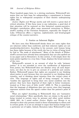Three hundred pages later, in a stirring conclusion, Wolterstorff intimates that our best hope for safeguarding a commitment to human rights lies in widespread acceptance of their theistic underpinning (2008, 393).

*Justice: Rights and Wrongs* merits and will receive a great deal of critical attention. If this focus issue is any indication, a good deal of that attention will be centered on this historical counter-narrative. Attridge's contribution offers some measured corrections to Wolterstorff's reading of the Christian Scriptures, especially the Gospel of Luke. O'Donovan offers a vigorous, sophisticated, and broad-gauged critique of the counter-narrative.

## 3. Justice as Inherent Rights

We have seen that Wolterstorff thinks there are some rights that are inherent rather than conferred, and that inherent rights are not membership-derivative. According to his account, each human being has these rights because of the worth she has in virtue of being loved by God in "the mode of attachment." Many of the details of Wolterstorff's account have already been anticipated; they are also spelled out in my paper and in Bernstein's. In this section, I will simply draw the main points together in a way that, I hope, displays the broad contours of the view.

Wolterstorff's account is an account of what he calls "primary justice." It is not intended to cover the rectification of departures from justice, but Wolterstorff does not idealize away all such departures, nor does he try to give an account of a perfectly just society. Rather, Wolterstorff argues that rights are essential to our thinking about justice in part because they are essential to our thinking about *in*justice, and to thinking about injustice from the victim's point of view. "The language of rights and of being wronged," he writes, "enables the oppressed to bring their own moral condition into the picture: they have been deprived of their right to better treatment, treated as if they were of little worth" (2008, 9). This is something that the language of obligations does not convey, since that language expresses matters from the agent's rather than the patient's point of view.

What are rights? According to Wolterstorff, they are "normative social relationships." More specifically, they are claims to the good of being treated in certain ways by persons and other social entities (2008, 263). As I noted earlier, *Justice: Rights and Wrongs* is an attempt to show why persons stand in these relationships to others and to certain goods. It is not an attempt to argue that human beings have a particular set of rights. Indeed, Bernstein takes Wolterstorff to task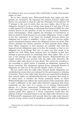for failing to give us an account that would help to settle what human rights we have.

As we have already seen, Wolterstorff thinks that rights and obligations are correlative. He expresses the relation between rights and duties very precisely in what he calls the "Principle of Correlatives": If Y belongs to the sort of entity that can have rights, then X has an obligation toward Y to do or refrain from doing A if and only if Y has a right against X to X's doing or refraining from doing A (2008, 34). One natural answer to the question of why we stand in these "normative social relationships," which exploits the Principle of Correlatives, is that we stand in them because we are under obligations. I have a right to the free enjoyment of my home, for example, because others are obligated not to enter it unbidden. I have a right to traverse public spaces unmolested because others are obligated to leave me alone. This answer prompts the further question of what grounds these obligations. Many responses to *that* question are possible: that God has imposed certain obligations upon us by fiat, for example, or that we are obligated not to do things that are—in some way that needs to be spelled out—bad. What these answers have in common is that they attempt to ground justice on something other than rights. This, as we saw, is the strategy of the right order theorist. Wolterstorff does not simply contrast his own account with the right order theorist's. He criticizes right order theory in some detail. The version he considers is one according to which justice is founded on obligations imposed by divine command. The arguments against divine command theories of obligation are laid out in the pivotal chapter twelve of *Justice*.

We saw earlier that the right order theorist thinks obligations are established by norms that are ordained for the government or ordering of societies. That is why right order theorists are committed to thinking that natural rights are membership-derived. A question that needs to be asked, then, is whether the divine command theory at which Wolterstorff takes aim reflects the social nature of the commands. Does it make a difference to the right order theorist's argument that those commands are the rules of a society—or, in Jerome Schneewind's phrase, of a "divine corporation" (Schneewind 1984)<sup>4</sup>—members of which naturally need a sovereign to order their behavior toward a common good? How appeal to a divine corporation would alter the defense of divine command theory is for the right order theorist to say. If Wolterstorff's arguments still succeed, then the right order theorist must be wrong. Justice must be founded on rights and not obligations.

<sup>&</sup>lt;sup>4</sup> Schneewind very helpfully fills in the background assumptions of pre-Kantian right order theory.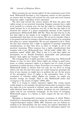What accounts for our having rights? In the constructive part of his book, Wolterstorff develops a very ingenious answer to this question, an answer that he hopes will account for why each and every human being has rights, regardless of her capacities.

The first step toward the answer pushes off from the place that rights occupy in our practical reasoning. Suppose someone has a right to be treated in a certain way—he has the right to a Social Security check because he is an American over 65, or she has the right to be declared the winner of a piano competition because of her superior performance (Wolterstorff 2008, 288–92). Then the fact that he or she has that right is not simply to be weighed in a balance with other considerations that bear on our actions. We are not to consider what is to be gained and lost by issuing a Social Security check or by awarding first place in a piano competition. We are just supposed to do it. Thus, the fact that someone has a right is supposed to preempt competing considerations, so that they have no force or weight at all in our practical reasoning. When someone has a right, considerations that compete with it are, Wolterstorff says, "off the table" (2008, 291), "no questions asked" (2008, 292). That is why it is said that rights are peremptory or—in Ronald Dworkin's memorable and picturesque phrase—that rights are "trumps" (1977, 153).

The trumping force of rights provides a promising clue, Wolterstorff thinks, to why we have them. Since rights are claims to good treatment, to violate someone's rights is to deprive her of a form of good treatment to which she has a claim. To do this is to wrong her. I believe Wolterstorff thinks it obvious that not only are we never to wrong others, but also the fact that some act would wrong her preempts the force of any reasons we might have to perform the act. So the source of the peremptory force of rights is the peremptory force of the wrongness of violating rights. Rights are trumps, we might say, because wrongs are trumps. That is why Wolterstorff states that "*wronging* is the source of rights" (2008, 293).

Why is it wrong to violate someone's rights? The wrong cannot reside simply in, for example, the physical harm done to someone when her right not to be tortured is violated, since she could suffer comparable physical harm from an accident. Accidents are not violations of rights and do not constitute wrongings. At the heart of wronging, Wolterstorff argues, is a failure to show respect for the one who is wronged.

Wronging is disrespectful treatment—treatment of which Wolterstorff gives a fascinating analysis, using the novel notion of an action's "respect-disrespect import" (2008, 296). Someone can act without intending to be disrespectful, but her action can express disrespect for someone else even so. It does so because of the "disrespect import" her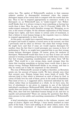action has. The upshot of Wolterstorff's analysis is that someone subjects another to disrespectful treatment when the respectdisrespect import of her action fails to comport with the worth that she has. Thus to fail to respond appropriately to someone's worth is to disrespect—or, as Wolterstorff says, to "under-respect"—her. Wolterstorff thinks that it is always wrong to treat something as having less worth than it does. This, he says, is his *Ur Principle* (2008, 370). To under-respect someone's worth therefore wrongs her. Wronging, as we saw, is the source of rights. So the ultimate explanation of why human beings have rights, and have claims to certain sorts of treatment, is that a failure to treat human beings in the requisite ways is a failure to respond appropriately to their worth.

At this point, we might have expected Wolterstorff to use the notions of respect and worth to explain a crucial move in his account, one that I previously said he takes as obvious—the claim that wrongs trump. He might have said that if some act would express disrespect for another, then the fact that it would preempts any reasons in favor of performing it. That is, we might have expected him to say that wrongs trump because disrespect trumps. Of course, given his analysis of disrespect, Wolterstorff would then have to say that if some act would amount to treating something as having lesser worth than it does, then *that* fact trumps competing considerations and takes them "off the table." That would be a very strong claim, much stronger than the claim that treating something as having lesser worth than it does is always wrong. Perhaps Wolterstorff thinks it too strong, and that is why he seems not to take his argument in this direction.

The crux of Wolterstorff's account of rights is therefore, as Bernstein points out, his account of human worth. We have already seen what that account says. Human beings have many kinds of worth. The relevant kind is that which is bestowed on each of them by God, in virtue of God's love for each of them, given in the mode of attachment. That kind of love is, I suggested above, bestowed individual by individual, rather than on humankind as a whole. As we have seen, the love of attachment is not given in response to any of the beloved individual's excellences (Wolterstorff 2008, 189–90), and the worth that results does not involve any reference to human capacities (2008, 352). Why, then, does God love individual human beings at all, and love us equally and permanently? These are among the questions that Bernstein presses in his subtle and searching examination of Wolterstorff's view.

A brief introduction cannot do justice to the richness, nuance, and scope of *Justice: Rights and Wrongs*. I have barely touched on some parts of the book. I have said nothing at all about others, such as the very interesting treatment of Augustine and eudaimonism that